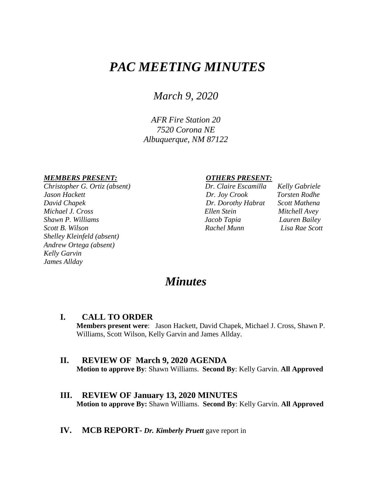# *PAC MEETING MINUTES*

*March 9, 2020*

*AFR Fire Station 20 7520 Corona NE Albuquerque, NM 87122*

#### *MEMBERS PRESENT: OTHERS PRESENT:*

*Christopher G. Ortiz (absent) Dr. Claire Escamilla Kelly Gabriele Jason Hackett Dr. Joy Crook Torsten Rodhe David Chapek Dr. Dorothy Habrat Scott Mathena Michael J. Cross Ellen Stein Mitchell Avey Shawn P. Williams Jacob Tapia Lauren Bailey Scott B. Wilson Rachel Munn Lisa Rae Scott Shelley Kleinfeld (absent) Andrew Ortega (absent) Kelly Garvin James Allday*

| Dr. Claire Escamille |
|----------------------|
| Dr. Joy Crook        |
| Dr. Dorothy Habrai   |
| Ellen Stein          |
| Jacob Tapia          |
| Rachel Munn          |

## *Minutes*

**I. CALL TO ORDER Members present were**: Jason Hackett, David Chapek, Michael J. Cross, Shawn P. Williams, Scott Wilson, Kelly Garvin and James Allday.

#### **II. REVIEW OF March 9, 2020 AGENDA Motion to approve By**: Shawn Williams. **Second By**: Kelly Garvin. **All Approved**

- **III. REVIEW OF January 13, 2020 MINUTES Motion to approve By:** Shawn Williams. **Second By**: Kelly Garvin. **All Approved**
- **IV. MCB REPORT-** *Dr. Kimberly Pruett* gave report in